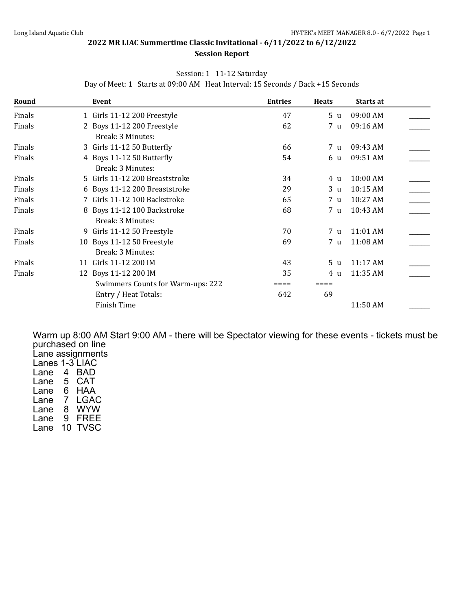#### **Session Report**

#### Session: 1 11-12 Saturday

**Round Event Entries Heats Starts at** Finals 11 Girls 11-12 200 Freestyle 1 and 47 5 u 09:00 AM Finals 2 Boys 11-12 200 Freestyle 62 7 u 09:16 AM Break: 3 Minutes: Finals 3 Girls 11-12 50 Butterfly 66 7 u 09:43 AM Finals 4 Boys 11-12 50 Butterfly 54 6 u 09:51 AM \_\_\_\_\_\_\_ Break: 3 Minutes: Finals 5 Girls 11-12 200 Breaststroke 5 34 4 u 10:00 AM Finals 6 Boys 11-12 200 Breaststroke 29 3 u 10:15 AM Finals 7 Girls 11-12 100 Backstroke 65 7 u 10:27 AM \_\_\_\_\_\_\_

Finals 68 8 Boys 11-12 100 Backstroke 68 7 u 10:43 AM

|  | Day of Meet: 1 Starts at 09:00 AM Heat Interval: 15 Seconds / Back +15 Seconds |  |
|--|--------------------------------------------------------------------------------|--|

|        | Break: 3 Minutes:                 |     |     |          |               |
|--------|-----------------------------------|-----|-----|----------|---------------|
| Finals | 9 Girls 11-12 50 Freestyle        | 70  | 7 u | 11:01 AM |               |
| Finals | 10 Boys 11-12 50 Freestyle        | 69  | 7 u | 11:08 AM |               |
|        | Break: 3 Minutes:                 |     |     |          |               |
| Finals | 11 Girls 11-12 200 IM             | 43  | 5 u | 11:17 AM |               |
| Finals | 12 Boys 11-12 200 IM              | 35  | 4 u | 11:35 AM | $\frac{1}{2}$ |
|        | Swimmers Counts for Warm-ups: 222 |     |     |          |               |
|        | Entry / Heat Totals:              | 642 | 69  |          |               |
|        | Finish Time                       |     |     | 11:50 AM |               |
|        |                                   |     |     |          |               |

Warm up 8:00 AM Start 9:00 AM - there will be Spectator viewing for these events - tickets must be purchased on line Lane assignments Lanes 1-3 LIAC Lane 4 BAD Lane 5 CAT Lane 6 HAA

Lane 7 LGAC Lane 8 WYW Lane 9 FREE Lane 10 TVSC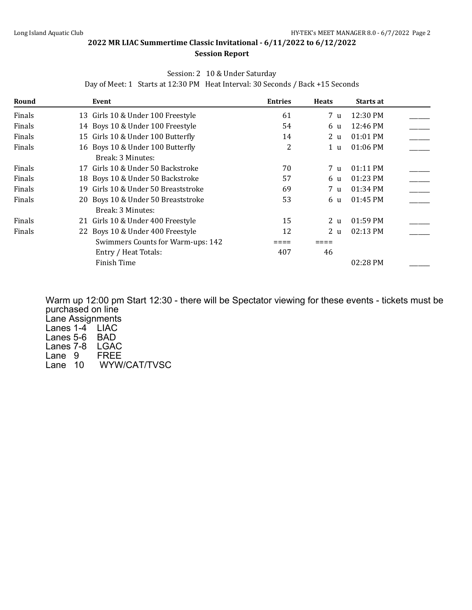#### **Session Report**

### Session: 2 10 & Under Saturday

Day of Meet: 1 Starts at 12:30 PM Heat Interval: 30 Seconds / Back +15 Seconds

| Round  | Event                                   | <b>Entries</b> | <b>Heats</b>   | Starts at  |  |
|--------|-----------------------------------------|----------------|----------------|------------|--|
| Finals | 13 Girls 10 & Under 100 Freestyle       | 61             | 7 u            | 12:30 PM   |  |
| Finals | 14 Boys 10 & Under 100 Freestyle        | 54             | 6 u            | 12:46 PM   |  |
| Finals | 15 Girls 10 & Under 100 Butterfly       | 14             | 2 u            | 01:01 PM   |  |
| Finals | 16 Boys 10 & Under 100 Butterfly        | 2              | 1 <sub>u</sub> | 01:06 PM   |  |
|        | Break: 3 Minutes:                       |                |                |            |  |
| Finals | 17 Girls 10 & Under 50 Backstroke       | 70             | 7 u            | 01:11 PM   |  |
| Finals | 18 Boys 10 & Under 50 Backstroke        | 57             | 6 u            | $01:23$ PM |  |
| Finals | Girls 10 & Under 50 Breaststroke<br>19. | 69             | 7 <sub>u</sub> | $01:34$ PM |  |
| Finals | 20 Boys 10 & Under 50 Breaststroke      | 53             | 6 u            | 01:45 PM   |  |
|        | Break: 3 Minutes:                       |                |                |            |  |
| Finals | 21 Girls 10 & Under 400 Freestyle       | 15             | 2 <sub>u</sub> | 01:59 PM   |  |
| Finals | 22 Boys 10 & Under 400 Freestyle        | 12             | 2 <sub>u</sub> | $02:13$ PM |  |
|        | Swimmers Counts for Warm-ups: 142       |                |                |            |  |
|        | Entry / Heat Totals:                    | 407            | 46             |            |  |
|        | Finish Time                             |                |                | 02:28 PM   |  |

Warm up 12:00 pm Start 12:30 - there will be Spectator viewing for these events - tickets must be purchased on line Lane Assignments Lanes 1-4<sup> $\degree$ </sup> LIAC Lanes 5-6 BAD Lanes 7-8 LGAC<br>Lane 9 FREE  $Lane<sub>9</sub>$ Lane 10 WYW/CAT/TVSC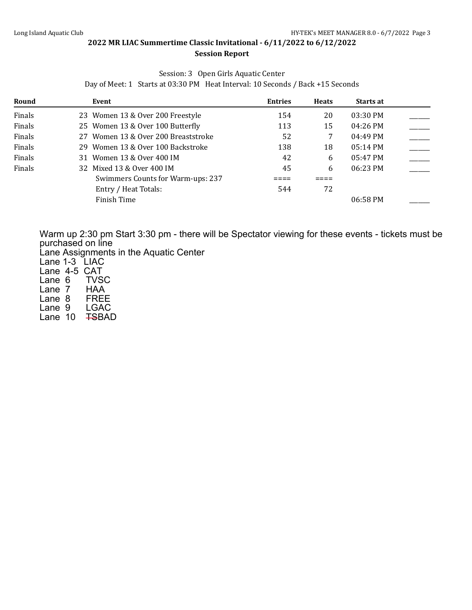#### **2022 MR LIAC Summertime Classic Invitational - 6/11/2022 to 6/12/2022 Session Report**

#### Session: 3 Open Girls Aquatic Center

Day of Meet: 1 Starts at 03:30 PM Heat Interval: 10 Seconds / Back +15 Seconds

| Round  | Event                               | <b>Entries</b> | <b>Heats</b> | <b>Starts at</b>   |  |
|--------|-------------------------------------|----------------|--------------|--------------------|--|
| Finals | 23 Women 13 & Over 200 Freestyle    | 154            | 20           | 03:30 PM           |  |
| Finals | 25 Women 13 & Over 100 Butterfly    | 113            | 15           | 04:26 PM           |  |
| Finals | 27 Women 13 & Over 200 Breaststroke | 52             | 7            | $04:49$ PM         |  |
| Finals | 29 Women 13 & Over 100 Backstroke   | 138            | 18           | $05:14 \text{ PM}$ |  |
| Finals | 31 Women 13 & Over 400 IM           | 42             | 6            | 05:47 PM           |  |
| Finals | 32 Mixed 13 & Over 400 IM           | 45             | 6            | 06:23 PM           |  |
|        | Swimmers Counts for Warm-ups: 237   |                |              |                    |  |
|        | Entry / Heat Totals:                | 544            | 72           |                    |  |
|        | Finish Time                         |                |              | 06:58 PM           |  |

Warm up 2:30 pm Start 3:30 pm - there will be Spectator viewing for these events - tickets must be purchased on line

Lane Assignments in the Aquatic Center

Lane 1-3 LIAC Lane 4-5 CAT<br>Lane 6 TVSC Lane 6 TVSC<br>Lane 7 HAA Lane 7 HAA<br>Lane 8 FREE Lane 8 FREE<br>Lane 9 LGAC Lane 9 Lane 10 <del>TS</del>BAD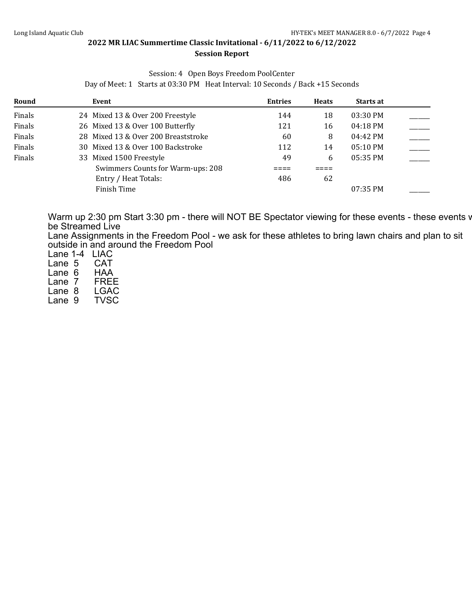#### **Session Report**

#### Session: 4 Open Boys Freedom PoolCenter

Day of Meet: 1 Starts at 03:30 PM Heat Interval: 10 Seconds / Back +15 Seconds

| Round  | Event                               | <b>Entries</b> | <b>Heats</b> | Starts at          |  |
|--------|-------------------------------------|----------------|--------------|--------------------|--|
| Finals | 24 Mixed 13 & Over 200 Freestyle    | 144            | 18           | 03:30 PM           |  |
| Finals | 26 Mixed 13 & Over 100 Butterfly    | 121            | 16           | $04:18$ PM         |  |
| Finals | 28 Mixed 13 & Over 200 Breaststroke | 60             | 8            | 04:42 PM           |  |
| Finals | 30 Mixed 13 & Over 100 Backstroke   | 112            | 14           | $05:10 \text{ PM}$ |  |
| Finals | 33 Mixed 1500 Freestyle             | 49             | 6            | $05:35$ PM         |  |
|        | Swimmers Counts for Warm-ups: 208   |                |              |                    |  |
|        | Entry / Heat Totals:                | 486            | 62           |                    |  |
|        | Finish Time                         |                |              | 07:35 PM           |  |

Warm up 2:30 pm Start 3:30 pm - there will NOT BE Spectator viewing for these events - these events w be Streamed Live

Lane Assignments in the Freedom Pool - we ask for these athletes to bring lawn chairs and plan to sit outside in and around the Freedom Pool

Lane 1-4 LIAC<br>Lane 5 CAT Lane 5 CAT<br>Lane 6 HAA Lane 6 HAA<br>Lane 7 FREE Lane 7 FREE<br>Lane 8 LGAC Lane 8 LGAC<br>Lane 9 TVSC Lane 9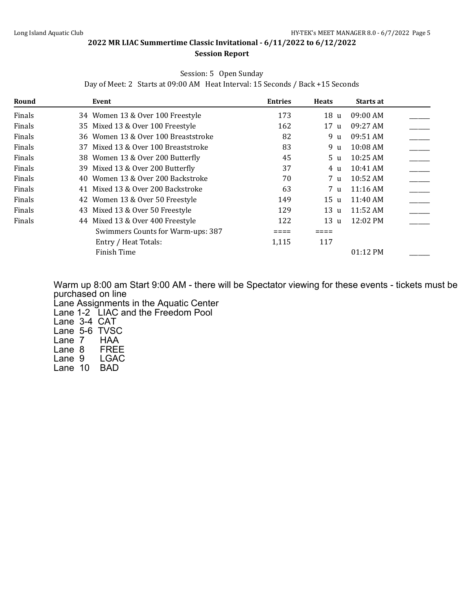# **Session Report**

#### Session: 5 Open Sunday

Day of Meet: 2 Starts at 09:00 AM Heat Interval: 15 Seconds / Back +15 Seconds

| Round  | Event                               | <b>Entries</b> | <b>Heats</b>    | Starts at          |  |
|--------|-------------------------------------|----------------|-----------------|--------------------|--|
| Finals | 34 Women 13 & Over 100 Freestyle    | 173            | 18 u            | 09:00 AM           |  |
| Finals | 35 Mixed 13 & Over 100 Freestyle    | 162            | 17 <sub>u</sub> | 09:27 AM           |  |
| Finals | 36 Women 13 & Over 100 Breaststroke | 82             | 9 u             | 09:51 AM           |  |
| Finals | 37 Mixed 13 & Over 100 Breaststroke | 83             | 9 u             | 10:08 AM           |  |
| Finals | 38 Women 13 & Over 200 Butterfly    | 45             | 5 <sub>u</sub>  | 10:25 AM           |  |
| Finals | 39 Mixed 13 & Over 200 Butterfly    | 37             | 4 u             | $10:41$ AM         |  |
| Finals | 40 Women 13 & Over 200 Backstroke   | 70             | 7 u             | 10:52 AM           |  |
| Finals | 41 Mixed 13 & Over 200 Backstroke   | 63             | 7 u             | $11:16$ AM         |  |
| Finals | 42 Women 13 & Over 50 Freestyle     | 149            | 15 u            | $11:40$ AM         |  |
| Finals | Mixed 13 & Over 50 Freestyle<br>43  | 129            | 13 u            | $11:52 \text{ AM}$ |  |
| Finals | Mixed 13 & Over 400 Freestyle<br>44 | 122            | 13 u            | $12:02 \text{ PM}$ |  |
|        | Swimmers Counts for Warm-ups: 387   |                |                 |                    |  |
|        | Entry / Heat Totals:                | 1,115          | 117             |                    |  |
|        | Finish Time                         |                |                 | 01:12 PM           |  |

Warm up 8:00 am Start 9:00 AM - there will be Spectator viewing for these events - tickets must be purchased on line Lane Assignments in the Aquatic Center Lane 1-2 LIAC and the Freedom Pool Lane 3-4 CAT Lane 5-6 TVSC<br>Lane 7 HAA Lane 7 HAA<br>Lane 8 FREE Lane 8 FREE<br>Lane 9 LGAC Lane 9 Lane 10 BAD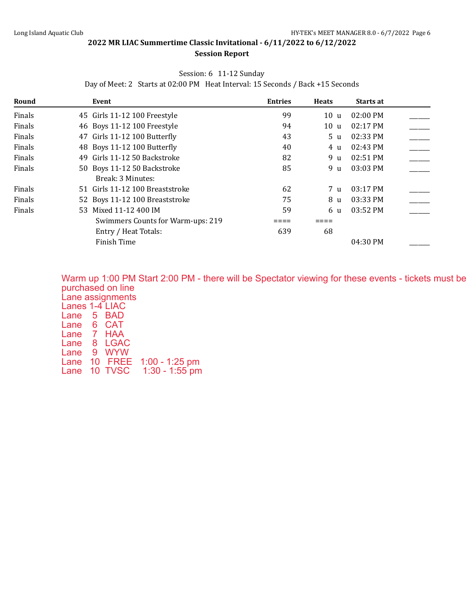#### **2022 MR LIAC Summertime Classic Invitational - 6/11/2022 to 6/12/2022 Session Report**

## Session: 6 11-12 Sunday

Day of Meet: 2 Starts at 02:00 PM Heat Interval: 15 Seconds / Back +15 Seconds

| Round  | Event                             | <b>Entries</b> | <b>Heats</b>   | Starts at          |  |
|--------|-----------------------------------|----------------|----------------|--------------------|--|
| Finals | 45 Girls 11-12 100 Freestyle      | 99             | 10u            | $02:00$ PM         |  |
| Finals | 46 Boys 11-12 100 Freestyle       | 94             | 10 u           | $02:17$ PM         |  |
| Finals | 47 Girls 11-12 100 Butterfly      | 43             | 5 u            | 02:33 PM           |  |
| Finals | 48 Boys 11-12 100 Butterfly       | 40             | 4 u            | $02:43 \text{ PM}$ |  |
| Finals | 49 Girls 11-12 50 Backstroke      | 82             | 9 u            | 02:51 PM           |  |
| Finals | 50 Boys 11-12 50 Backstroke       | 85             | 9 u            | $03:03$ PM         |  |
|        | Break: 3 Minutes:                 |                |                |                    |  |
| Finals | 51 Girls 11-12 100 Breaststroke   | 62             | 7 <sub>u</sub> | $03:17$ PM         |  |
| Finals | 52 Boys 11-12 100 Breaststroke    | 75             | 8 u            | 03:33 PM           |  |
| Finals | 53 Mixed 11-12 400 IM             | 59             | 6 u            | 03:52 PM           |  |
|        | Swimmers Counts for Warm-ups: 219 |                |                |                    |  |
|        | Entry / Heat Totals:              | 639            | 68             |                    |  |
|        | Finish Time                       |                |                | 04:30 PM           |  |

Warm up 1:00 PM Start 2:00 PM - there will be Spectator viewing for these events - tickets must be purchased on line Lane assignments Lanes 1-4 LIAC Lane 5 BAD Lane 6 CAT Lane 7 HAA Lane 8 LGAC Lane 9 WYW Lane 10 FREE 1:00 - 1:25 pm<br>Lane 10 TVSC 1:30 - 1:55 pm Lane 10 TVSC